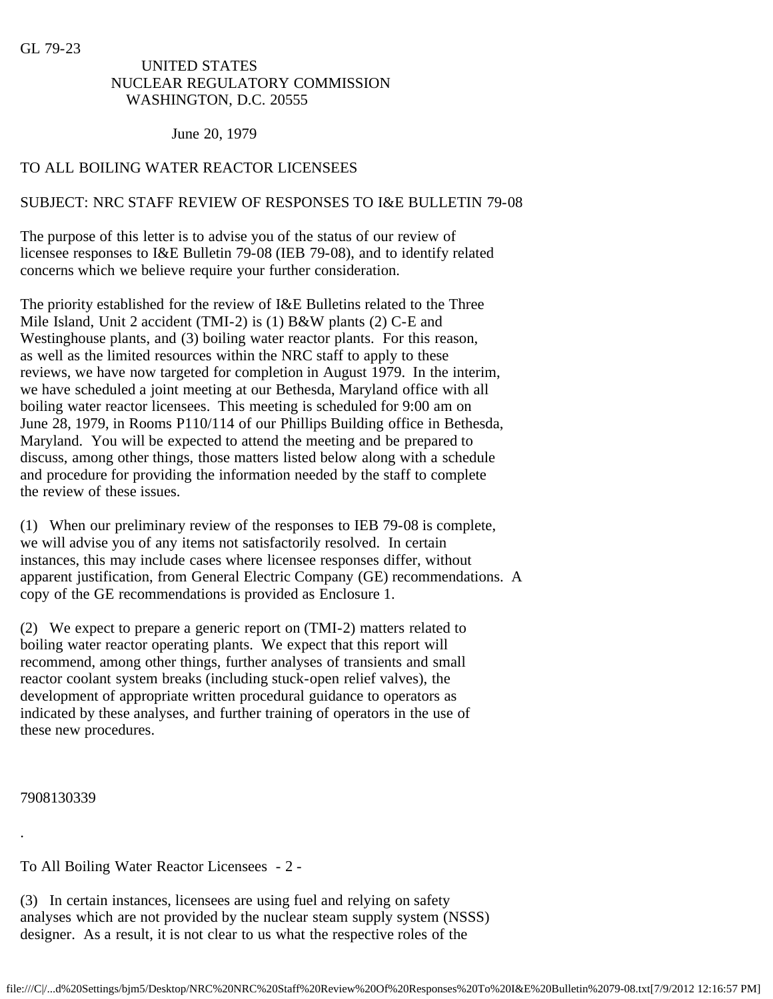GL 79-23

# UNITED STATES NUCLEAR REGULATORY COMMISSION WASHINGTON, D.C. 20555

### June 20, 1979

# TO ALL BOILING WATER REACTOR LICENSEES

## SUBJECT: NRC STAFF REVIEW OF RESPONSES TO I&E BULLETIN 79-08

The purpose of this letter is to advise you of the status of our review of licensee responses to I&E Bulletin 79-08 (IEB 79-08), and to identify related concerns which we believe require your further consideration.

The priority established for the review of I&E Bulletins related to the Three Mile Island, Unit 2 accident (TMI-2) is (1) B&W plants (2) C-E and Westinghouse plants, and (3) boiling water reactor plants. For this reason, as well as the limited resources within the NRC staff to apply to these reviews, we have now targeted for completion in August 1979. In the interim, we have scheduled a joint meeting at our Bethesda, Maryland office with all boiling water reactor licensees. This meeting is scheduled for 9:00 am on June 28, 1979, in Rooms P110/114 of our Phillips Building office in Bethesda, Maryland. You will be expected to attend the meeting and be prepared to discuss, among other things, those matters listed below along with a schedule and procedure for providing the information needed by the staff to complete the review of these issues.

(1) When our preliminary review of the responses to IEB 79-08 is complete, we will advise you of any items not satisfactorily resolved. In certain instances, this may include cases where licensee responses differ, without apparent justification, from General Electric Company (GE) recommendations. A copy of the GE recommendations is provided as Enclosure 1.

(2) We expect to prepare a generic report on (TMI-2) matters related to boiling water reactor operating plants. We expect that this report will recommend, among other things, further analyses of transients and small reactor coolant system breaks (including stuck-open relief valves), the development of appropriate written procedural guidance to operators as indicated by these analyses, and further training of operators in the use of these new procedures.

7908130339

.

To All Boiling Water Reactor Licensees - 2 -

(3) In certain instances, licensees are using fuel and relying on safety analyses which are not provided by the nuclear steam supply system (NSSS) designer. As a result, it is not clear to us what the respective roles of the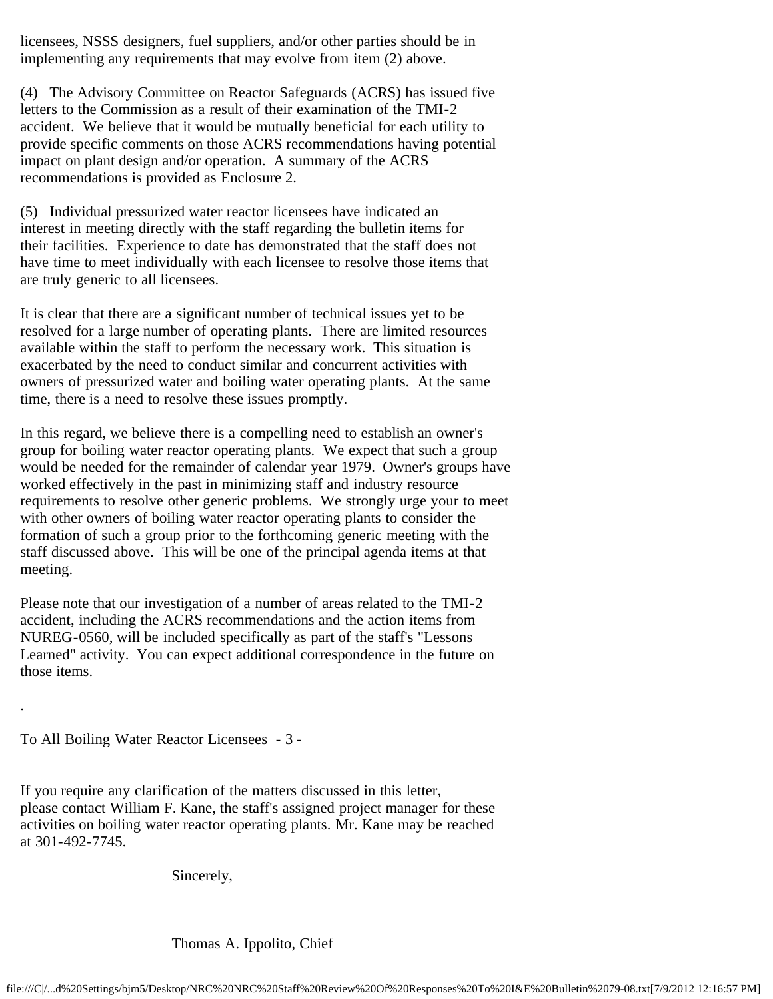licensees, NSSS designers, fuel suppliers, and/or other parties should be in implementing any requirements that may evolve from item (2) above.

(4) The Advisory Committee on Reactor Safeguards (ACRS) has issued five letters to the Commission as a result of their examination of the TMI-2 accident. We believe that it would be mutually beneficial for each utility to provide specific comments on those ACRS recommendations having potential impact on plant design and/or operation. A summary of the ACRS recommendations is provided as Enclosure 2.

(5) Individual pressurized water reactor licensees have indicated an interest in meeting directly with the staff regarding the bulletin items for their facilities. Experience to date has demonstrated that the staff does not have time to meet individually with each licensee to resolve those items that are truly generic to all licensees.

It is clear that there are a significant number of technical issues yet to be resolved for a large number of operating plants. There are limited resources available within the staff to perform the necessary work. This situation is exacerbated by the need to conduct similar and concurrent activities with owners of pressurized water and boiling water operating plants. At the same time, there is a need to resolve these issues promptly.

In this regard, we believe there is a compelling need to establish an owner's group for boiling water reactor operating plants. We expect that such a group would be needed for the remainder of calendar year 1979. Owner's groups have worked effectively in the past in minimizing staff and industry resource requirements to resolve other generic problems. We strongly urge your to meet with other owners of boiling water reactor operating plants to consider the formation of such a group prior to the forthcoming generic meeting with the staff discussed above. This will be one of the principal agenda items at that meeting.

Please note that our investigation of a number of areas related to the TMI-2 accident, including the ACRS recommendations and the action items from NUREG-0560, will be included specifically as part of the staff's "Lessons Learned" activity. You can expect additional correspondence in the future on those items.

To All Boiling Water Reactor Licensees - 3 -

.

If you require any clarification of the matters discussed in this letter, please contact William F. Kane, the staff's assigned project manager for these activities on boiling water reactor operating plants. Mr. Kane may be reached at 301-492-7745.

Sincerely,

Thomas A. Ippolito, Chief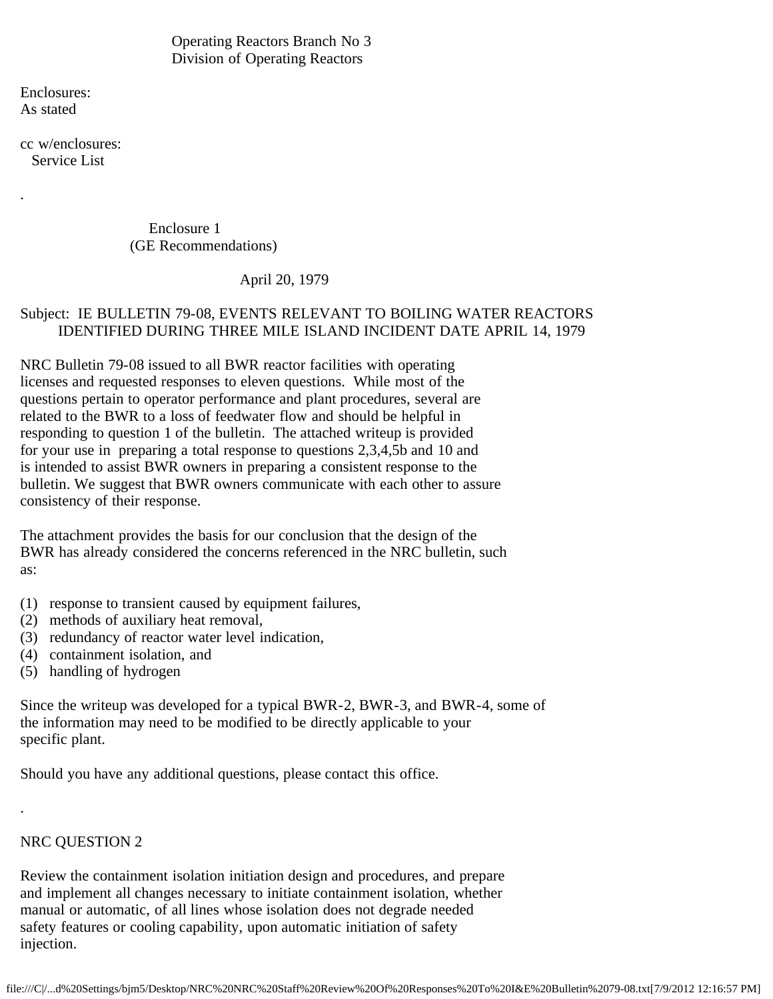Operating Reactors Branch No 3 Division of Operating Reactors

Enclosures: As stated

.

cc w/enclosures: Service List

> Enclosure 1 (GE Recommendations)

> > April 20, 1979

# Subject: IE BULLETIN 79-08, EVENTS RELEVANT TO BOILING WATER REACTORS IDENTIFIED DURING THREE MILE ISLAND INCIDENT DATE APRIL 14, 1979

NRC Bulletin 79-08 issued to all BWR reactor facilities with operating licenses and requested responses to eleven questions. While most of the questions pertain to operator performance and plant procedures, several are related to the BWR to a loss of feedwater flow and should be helpful in responding to question 1 of the bulletin. The attached writeup is provided for your use in preparing a total response to questions 2,3,4,5b and 10 and is intended to assist BWR owners in preparing a consistent response to the bulletin. We suggest that BWR owners communicate with each other to assure consistency of their response.

The attachment provides the basis for our conclusion that the design of the BWR has already considered the concerns referenced in the NRC bulletin, such as:

- (1) response to transient caused by equipment failures,
- (2) methods of auxiliary heat removal,
- (3) redundancy of reactor water level indication,
- (4) containment isolation, and
- (5) handling of hydrogen

Since the writeup was developed for a typical BWR-2, BWR-3, and BWR-4, some of the information may need to be modified to be directly applicable to your specific plant.

Should you have any additional questions, please contact this office.

# NRC QUESTION 2

.

Review the containment isolation initiation design and procedures, and prepare and implement all changes necessary to initiate containment isolation, whether manual or automatic, of all lines whose isolation does not degrade needed safety features or cooling capability, upon automatic initiation of safety injection.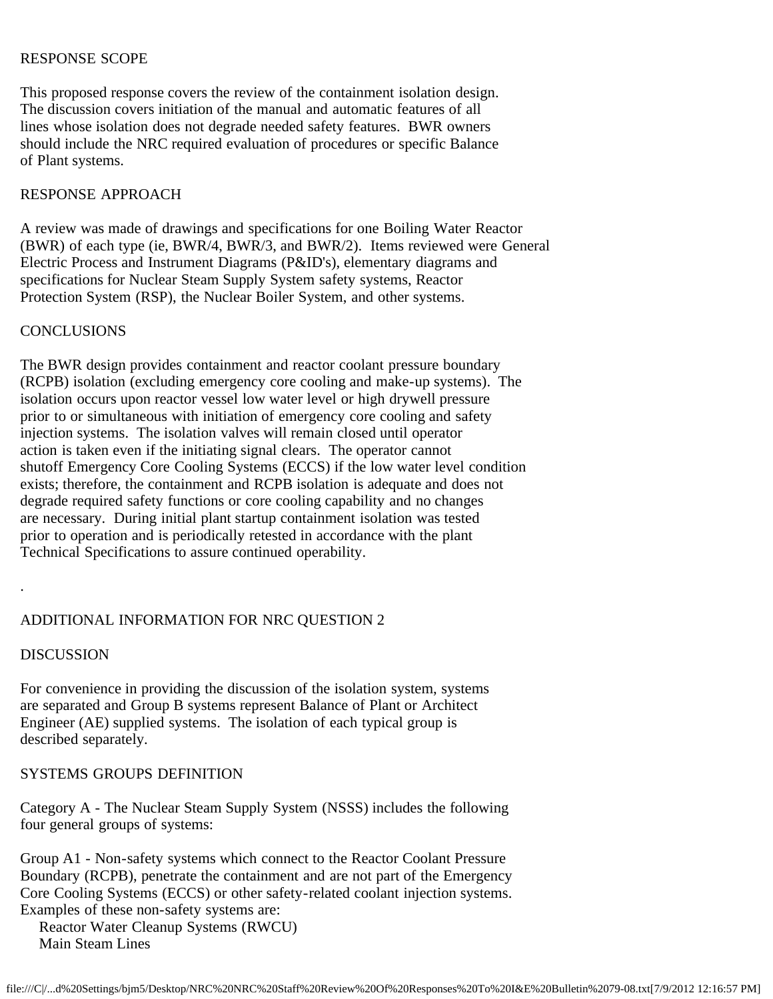### RESPONSE SCOPE

This proposed response covers the review of the containment isolation design. The discussion covers initiation of the manual and automatic features of all lines whose isolation does not degrade needed safety features. BWR owners should include the NRC required evaluation of procedures or specific Balance of Plant systems.

## RESPONSE APPROACH

A review was made of drawings and specifications for one Boiling Water Reactor (BWR) of each type (ie, BWR/4, BWR/3, and BWR/2). Items reviewed were General Electric Process and Instrument Diagrams (P&ID's), elementary diagrams and specifications for Nuclear Steam Supply System safety systems, Reactor Protection System (RSP), the Nuclear Boiler System, and other systems.

### **CONCLUSIONS**

The BWR design provides containment and reactor coolant pressure boundary (RCPB) isolation (excluding emergency core cooling and make-up systems). The isolation occurs upon reactor vessel low water level or high drywell pressure prior to or simultaneous with initiation of emergency core cooling and safety injection systems. The isolation valves will remain closed until operator action is taken even if the initiating signal clears. The operator cannot shutoff Emergency Core Cooling Systems (ECCS) if the low water level condition exists; therefore, the containment and RCPB isolation is adequate and does not degrade required safety functions or core cooling capability and no changes are necessary. During initial plant startup containment isolation was tested prior to operation and is periodically retested in accordance with the plant Technical Specifications to assure continued operability.

## ADDITIONAL INFORMATION FOR NRC QUESTION 2

## **DISCUSSION**

.

For convenience in providing the discussion of the isolation system, systems are separated and Group B systems represent Balance of Plant or Architect Engineer (AE) supplied systems. The isolation of each typical group is described separately.

## SYSTEMS GROUPS DEFINITION

Category A - The Nuclear Steam Supply System (NSSS) includes the following four general groups of systems:

Group A1 - Non-safety systems which connect to the Reactor Coolant Pressure Boundary (RCPB), penetrate the containment and are not part of the Emergency Core Cooling Systems (ECCS) or other safety-related coolant injection systems. Examples of these non-safety systems are:

 Reactor Water Cleanup Systems (RWCU) Main Steam Lines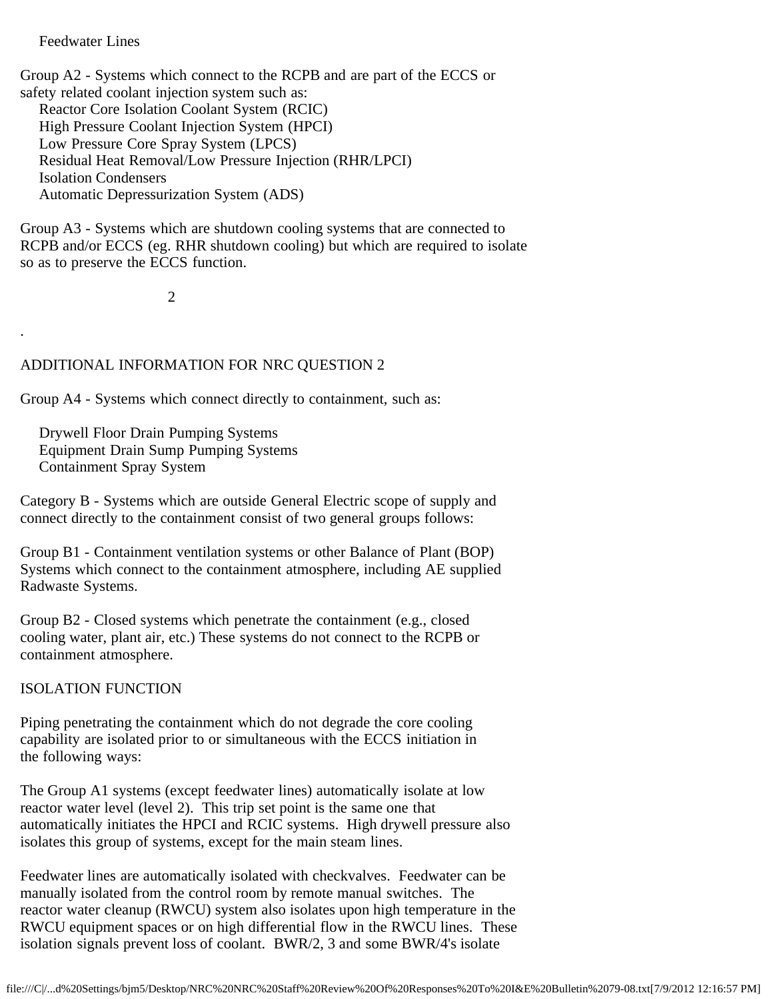## Feedwater Lines

.

Group A2 - Systems which connect to the RCPB and are part of the ECCS or safety related coolant injection system such as: Reactor Core Isolation Coolant System (RCIC) High Pressure Coolant Injection System (HPCI) Low Pressure Core Spray System (LPCS) Residual Heat Removal/Low Pressure Injection (RHR/LPCI) Isolation Condensers Automatic Depressurization System (ADS)

Group A3 - Systems which are shutdown cooling systems that are connected to RCPB and/or ECCS (eg. RHR shutdown cooling) but which are required to isolate so as to preserve the ECCS function.

2

## ADDITIONAL INFORMATION FOR NRC QUESTION 2

Group A4 - Systems which connect directly to containment, such as:

 Drywell Floor Drain Pumping Systems Equipment Drain Sump Pumping Systems Containment Spray System

Category B - Systems which are outside General Electric scope of supply and connect directly to the containment consist of two general groups follows:

Group B1 - Containment ventilation systems or other Balance of Plant (BOP) Systems which connect to the containment atmosphere, including AE supplied Radwaste Systems.

Group B2 - Closed systems which penetrate the containment (e.g., closed cooling water, plant air, etc.) These systems do not connect to the RCPB or containment atmosphere.

ISOLATION FUNCTION

Piping penetrating the containment which do not degrade the core cooling capability are isolated prior to or simultaneous with the ECCS initiation in the following ways:

The Group A1 systems (except feedwater lines) automatically isolate at low reactor water level (level 2). This trip set point is the same one that automatically initiates the HPCI and RCIC systems. High drywell pressure also isolates this group of systems, except for the main steam lines.

Feedwater lines are automatically isolated with checkvalves. Feedwater can be manually isolated from the control room by remote manual switches. The reactor water cleanup (RWCU) system also isolates upon high temperature in the RWCU equipment spaces or on high differential flow in the RWCU lines. These isolation signals prevent loss of coolant. BWR/2, 3 and some BWR/4's isolate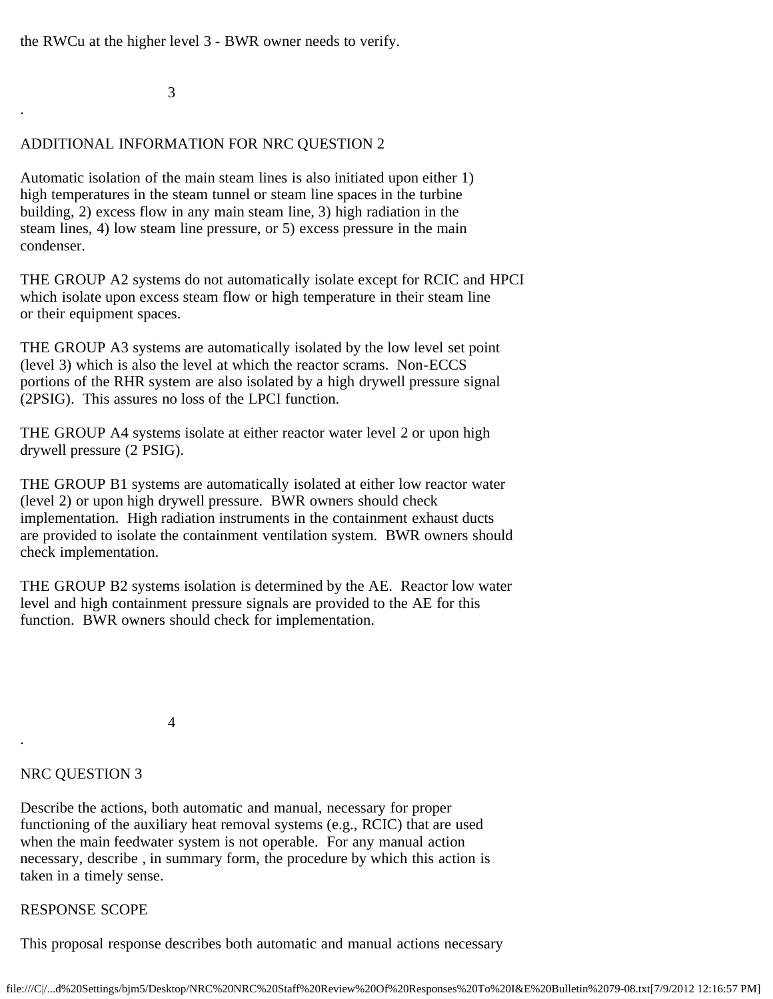the RWCu at the higher level 3 - BWR owner needs to verify.

3

.

# ADDITIONAL INFORMATION FOR NRC QUESTION 2

Automatic isolation of the main steam lines is also initiated upon either 1) high temperatures in the steam tunnel or steam line spaces in the turbine building, 2) excess flow in any main steam line, 3) high radiation in the steam lines, 4) low steam line pressure, or 5) excess pressure in the main condenser.

THE GROUP A2 systems do not automatically isolate except for RCIC and HPCI which isolate upon excess steam flow or high temperature in their steam line or their equipment spaces.

THE GROUP A3 systems are automatically isolated by the low level set point (level 3) which is also the level at which the reactor scrams. Non-ECCS portions of the RHR system are also isolated by a high drywell pressure signal (2PSIG). This assures no loss of the LPCI function.

THE GROUP A4 systems isolate at either reactor water level 2 or upon high drywell pressure (2 PSIG).

THE GROUP B1 systems are automatically isolated at either low reactor water (level 2) or upon high drywell pressure. BWR owners should check implementation. High radiation instruments in the containment exhaust ducts are provided to isolate the containment ventilation system. BWR owners should check implementation.

THE GROUP B2 systems isolation is determined by the AE. Reactor low water level and high containment pressure signals are provided to the AE for this function. BWR owners should check for implementation.

4

# NRC QUESTION 3

.

Describe the actions, both automatic and manual, necessary for proper functioning of the auxiliary heat removal systems (e.g., RCIC) that are used when the main feedwater system is not operable. For any manual action necessary, describe , in summary form, the procedure by which this action is taken in a timely sense.

# RESPONSE SCOPE

This proposal response describes both automatic and manual actions necessary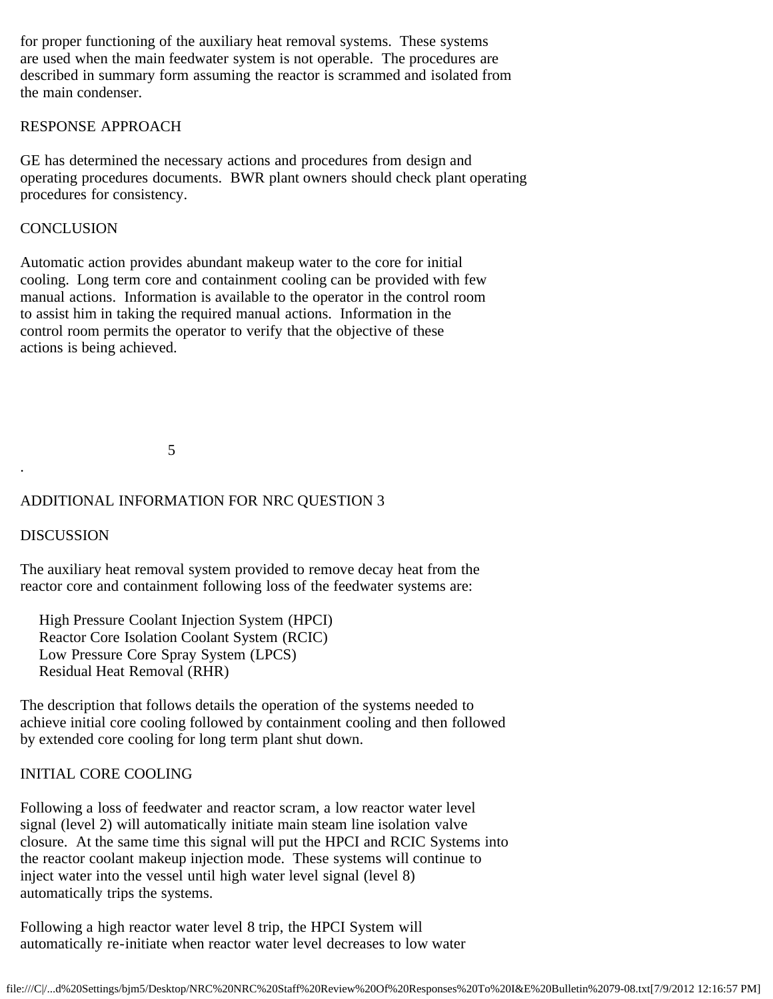for proper functioning of the auxiliary heat removal systems. These systems are used when the main feedwater system is not operable. The procedures are described in summary form assuming the reactor is scrammed and isolated from the main condenser.

## RESPONSE APPROACH

GE has determined the necessary actions and procedures from design and operating procedures documents. BWR plant owners should check plant operating procedures for consistency.

## **CONCLUSION**

Automatic action provides abundant makeup water to the core for initial cooling. Long term core and containment cooling can be provided with few manual actions. Information is available to the operator in the control room to assist him in taking the required manual actions. Information in the control room permits the operator to verify that the objective of these actions is being achieved.

5

## ADDITIONAL INFORMATION FOR NRC QUESTION 3

## DISCUSSION

.

The auxiliary heat removal system provided to remove decay heat from the reactor core and containment following loss of the feedwater systems are:

 High Pressure Coolant Injection System (HPCI) Reactor Core Isolation Coolant System (RCIC) Low Pressure Core Spray System (LPCS) Residual Heat Removal (RHR)

The description that follows details the operation of the systems needed to achieve initial core cooling followed by containment cooling and then followed by extended core cooling for long term plant shut down.

## INITIAL CORE COOLING

Following a loss of feedwater and reactor scram, a low reactor water level signal (level 2) will automatically initiate main steam line isolation valve closure. At the same time this signal will put the HPCI and RCIC Systems into the reactor coolant makeup injection mode. These systems will continue to inject water into the vessel until high water level signal (level 8) automatically trips the systems.

Following a high reactor water level 8 trip, the HPCI System will automatically re-initiate when reactor water level decreases to low water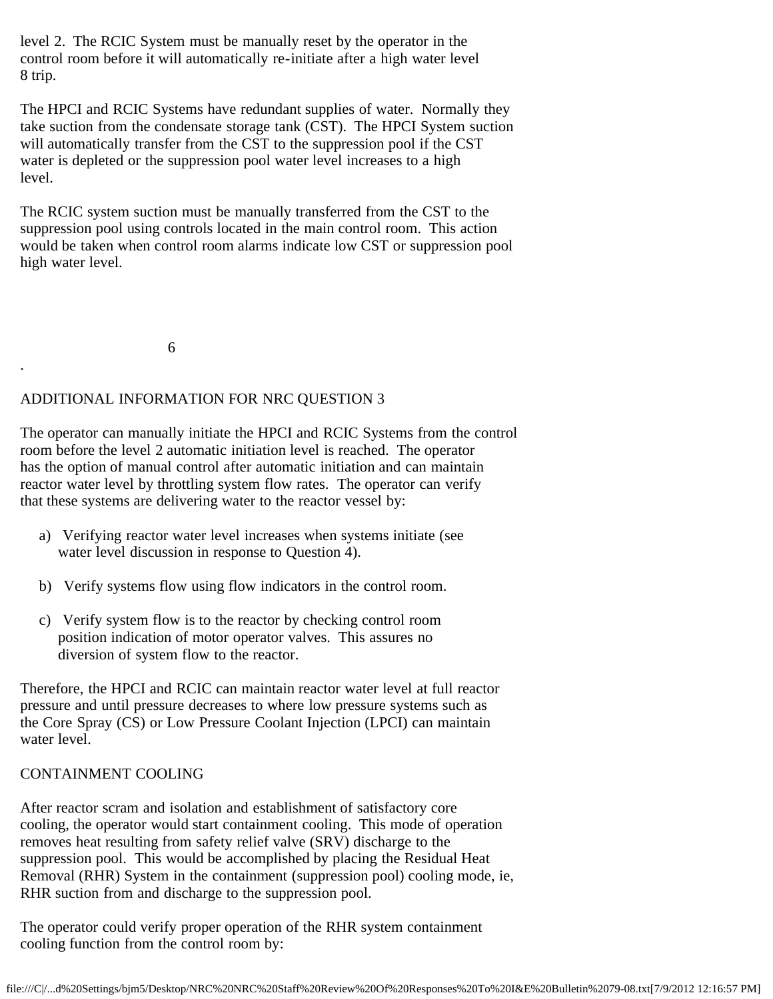level 2. The RCIC System must be manually reset by the operator in the control room before it will automatically re-initiate after a high water level 8 trip.

The HPCI and RCIC Systems have redundant supplies of water. Normally they take suction from the condensate storage tank (CST). The HPCI System suction will automatically transfer from the CST to the suppression pool if the CST water is depleted or the suppression pool water level increases to a high level.

The RCIC system suction must be manually transferred from the CST to the suppression pool using controls located in the main control room. This action would be taken when control room alarms indicate low CST or suppression pool high water level.

6

.

# ADDITIONAL INFORMATION FOR NRC QUESTION 3

The operator can manually initiate the HPCI and RCIC Systems from the control room before the level 2 automatic initiation level is reached. The operator has the option of manual control after automatic initiation and can maintain reactor water level by throttling system flow rates. The operator can verify that these systems are delivering water to the reactor vessel by:

- a) Verifying reactor water level increases when systems initiate (see water level discussion in response to Question 4).
- b) Verify systems flow using flow indicators in the control room.
- c) Verify system flow is to the reactor by checking control room position indication of motor operator valves. This assures no diversion of system flow to the reactor.

Therefore, the HPCI and RCIC can maintain reactor water level at full reactor pressure and until pressure decreases to where low pressure systems such as the Core Spray (CS) or Low Pressure Coolant Injection (LPCI) can maintain water level.

## CONTAINMENT COOLING

After reactor scram and isolation and establishment of satisfactory core cooling, the operator would start containment cooling. This mode of operation removes heat resulting from safety relief valve (SRV) discharge to the suppression pool. This would be accomplished by placing the Residual Heat Removal (RHR) System in the containment (suppression pool) cooling mode, ie, RHR suction from and discharge to the suppression pool.

The operator could verify proper operation of the RHR system containment cooling function from the control room by: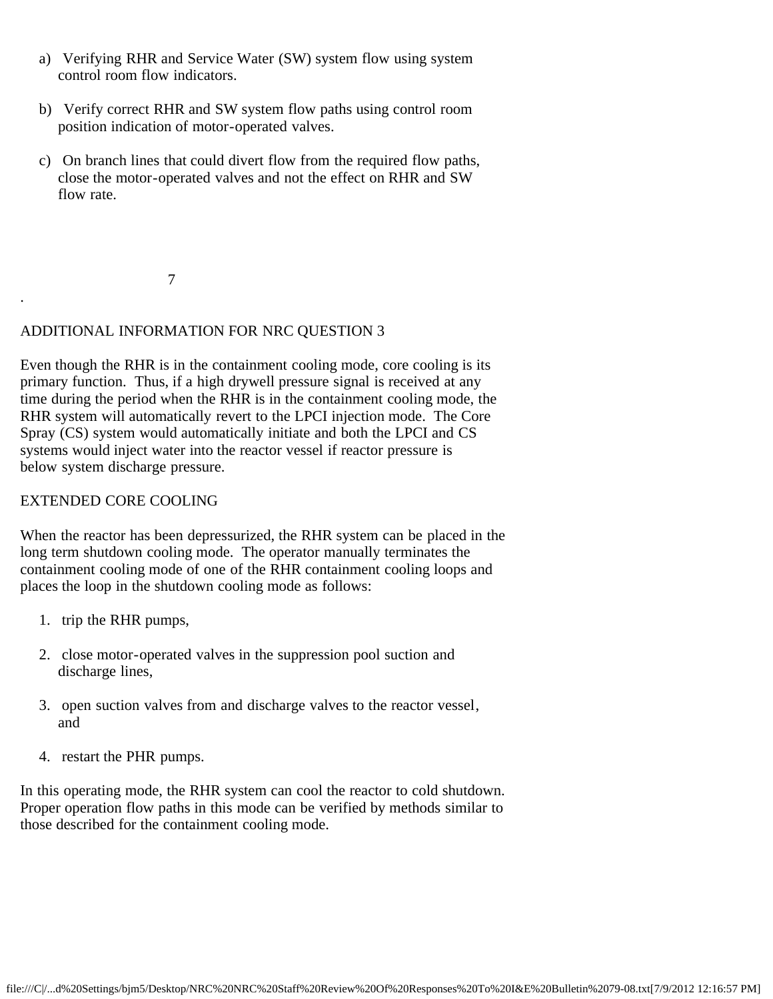- a) Verifying RHR and Service Water (SW) system flow using system control room flow indicators.
- b) Verify correct RHR and SW system flow paths using control room position indication of motor-operated valves.
- c) On branch lines that could divert flow from the required flow paths, close the motor-operated valves and not the effect on RHR and SW flow rate.

7

# ADDITIONAL INFORMATION FOR NRC QUESTION 3

Even though the RHR is in the containment cooling mode, core cooling is its primary function. Thus, if a high drywell pressure signal is received at any time during the period when the RHR is in the containment cooling mode, the RHR system will automatically revert to the LPCI injection mode. The Core Spray (CS) system would automatically initiate and both the LPCI and CS systems would inject water into the reactor vessel if reactor pressure is below system discharge pressure.

## EXTENDED CORE COOLING

.

When the reactor has been depressurized, the RHR system can be placed in the long term shutdown cooling mode. The operator manually terminates the containment cooling mode of one of the RHR containment cooling loops and places the loop in the shutdown cooling mode as follows:

- 1. trip the RHR pumps,
- 2. close motor-operated valves in the suppression pool suction and discharge lines,
- 3. open suction valves from and discharge valves to the reactor vessel, and
- 4. restart the PHR pumps.

In this operating mode, the RHR system can cool the reactor to cold shutdown. Proper operation flow paths in this mode can be verified by methods similar to those described for the containment cooling mode.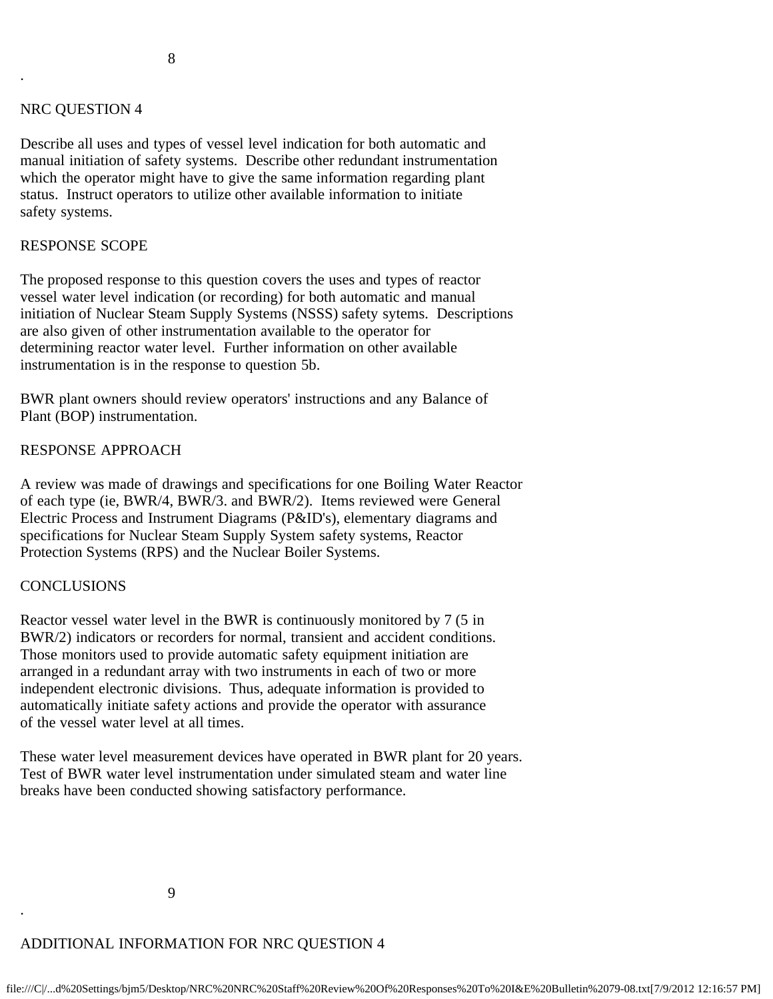#### NRC QUESTION 4

.

Describe all uses and types of vessel level indication for both automatic and manual initiation of safety systems. Describe other redundant instrumentation which the operator might have to give the same information regarding plant status. Instruct operators to utilize other available information to initiate safety systems.

#### RESPONSE SCOPE

The proposed response to this question covers the uses and types of reactor vessel water level indication (or recording) for both automatic and manual initiation of Nuclear Steam Supply Systems (NSSS) safety sytems. Descriptions are also given of other instrumentation available to the operator for determining reactor water level. Further information on other available instrumentation is in the response to question 5b.

BWR plant owners should review operators' instructions and any Balance of Plant (BOP) instrumentation.

### RESPONSE APPROACH

A review was made of drawings and specifications for one Boiling Water Reactor of each type (ie, BWR/4, BWR/3. and BWR/2). Items reviewed were General Electric Process and Instrument Diagrams (P&ID's), elementary diagrams and specifications for Nuclear Steam Supply System safety systems, Reactor Protection Systems (RPS) and the Nuclear Boiler Systems.

#### CONCLUSIONS

.

Reactor vessel water level in the BWR is continuously monitored by 7 (5 in BWR/2) indicators or recorders for normal, transient and accident conditions. Those monitors used to provide automatic safety equipment initiation are arranged in a redundant array with two instruments in each of two or more independent electronic divisions. Thus, adequate information is provided to automatically initiate safety actions and provide the operator with assurance of the vessel water level at all times.

These water level measurement devices have operated in BWR plant for 20 years. Test of BWR water level instrumentation under simulated steam and water line breaks have been conducted showing satisfactory performance.

## ADDITIONAL INFORMATION FOR NRC QUESTION 4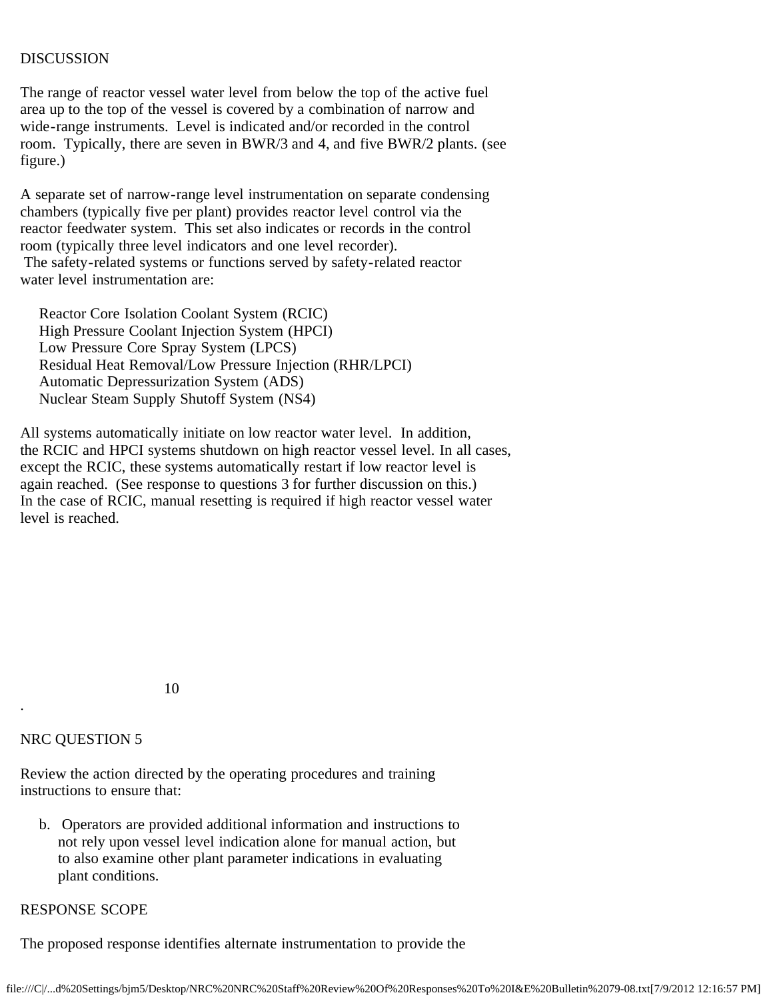## DISCUSSION

The range of reactor vessel water level from below the top of the active fuel area up to the top of the vessel is covered by a combination of narrow and wide-range instruments. Level is indicated and/or recorded in the control room. Typically, there are seven in BWR/3 and 4, and five BWR/2 plants. (see figure.)

A separate set of narrow-range level instrumentation on separate condensing chambers (typically five per plant) provides reactor level control via the reactor feedwater system. This set also indicates or records in the control room (typically three level indicators and one level recorder). The safety-related systems or functions served by safety-related reactor water level instrumentation are:

 Reactor Core Isolation Coolant System (RCIC) High Pressure Coolant Injection System (HPCI) Low Pressure Core Spray System (LPCS) Residual Heat Removal/Low Pressure Injection (RHR/LPCI) Automatic Depressurization System (ADS) Nuclear Steam Supply Shutoff System (NS4)

All systems automatically initiate on low reactor water level. In addition, the RCIC and HPCI systems shutdown on high reactor vessel level. In all cases, except the RCIC, these systems automatically restart if low reactor level is again reached. (See response to questions 3 for further discussion on this.) In the case of RCIC, manual resetting is required if high reactor vessel water level is reached.

10

## NRC QUESTION 5

.

Review the action directed by the operating procedures and training instructions to ensure that:

 b. Operators are provided additional information and instructions to not rely upon vessel level indication alone for manual action, but to also examine other plant parameter indications in evaluating plant conditions.

# RESPONSE SCOPE

The proposed response identifies alternate instrumentation to provide the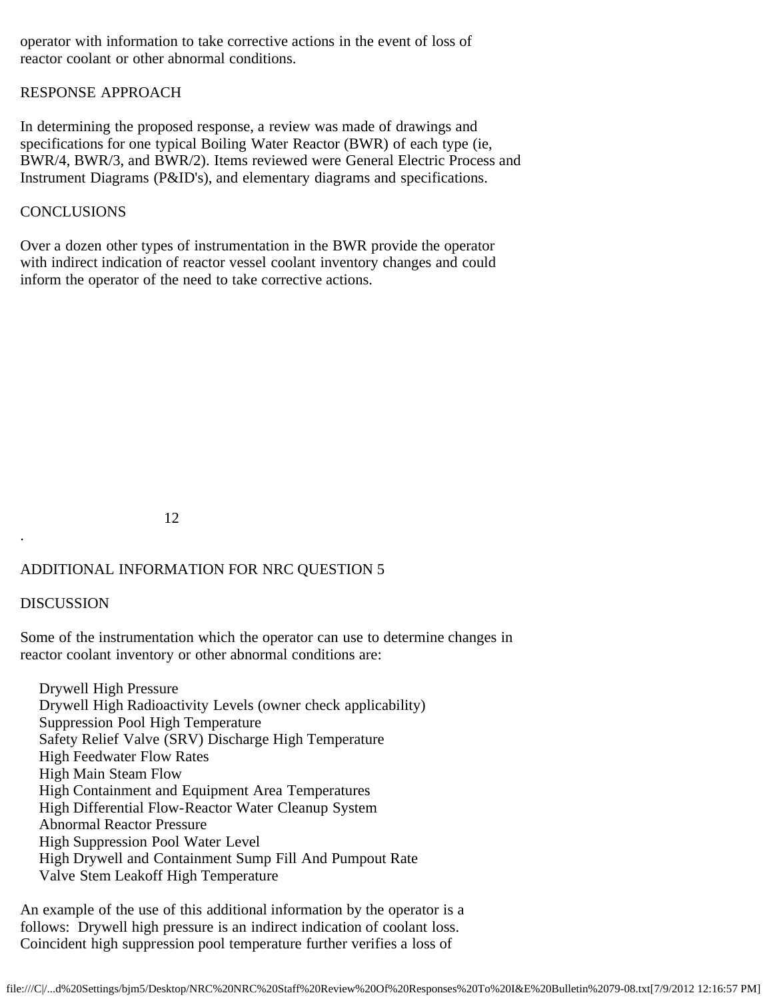operator with information to take corrective actions in the event of loss of reactor coolant or other abnormal conditions.

## RESPONSE APPROACH

In determining the proposed response, a review was made of drawings and specifications for one typical Boiling Water Reactor (BWR) of each type (ie, BWR/4, BWR/3, and BWR/2). Items reviewed were General Electric Process and Instrument Diagrams (P&ID's), and elementary diagrams and specifications.

### **CONCLUSIONS**

Over a dozen other types of instrumentation in the BWR provide the operator with indirect indication of reactor vessel coolant inventory changes and could inform the operator of the need to take corrective actions.

12

## ADDITIONAL INFORMATION FOR NRC QUESTION 5

### DISCUSSION

.

Some of the instrumentation which the operator can use to determine changes in reactor coolant inventory or other abnormal conditions are:

 Drywell High Pressure Drywell High Radioactivity Levels (owner check applicability) Suppression Pool High Temperature Safety Relief Valve (SRV) Discharge High Temperature High Feedwater Flow Rates High Main Steam Flow High Containment and Equipment Area Temperatures High Differential Flow-Reactor Water Cleanup System Abnormal Reactor Pressure High Suppression Pool Water Level High Drywell and Containment Sump Fill And Pumpout Rate Valve Stem Leakoff High Temperature

An example of the use of this additional information by the operator is a follows: Drywell high pressure is an indirect indication of coolant loss. Coincident high suppression pool temperature further verifies a loss of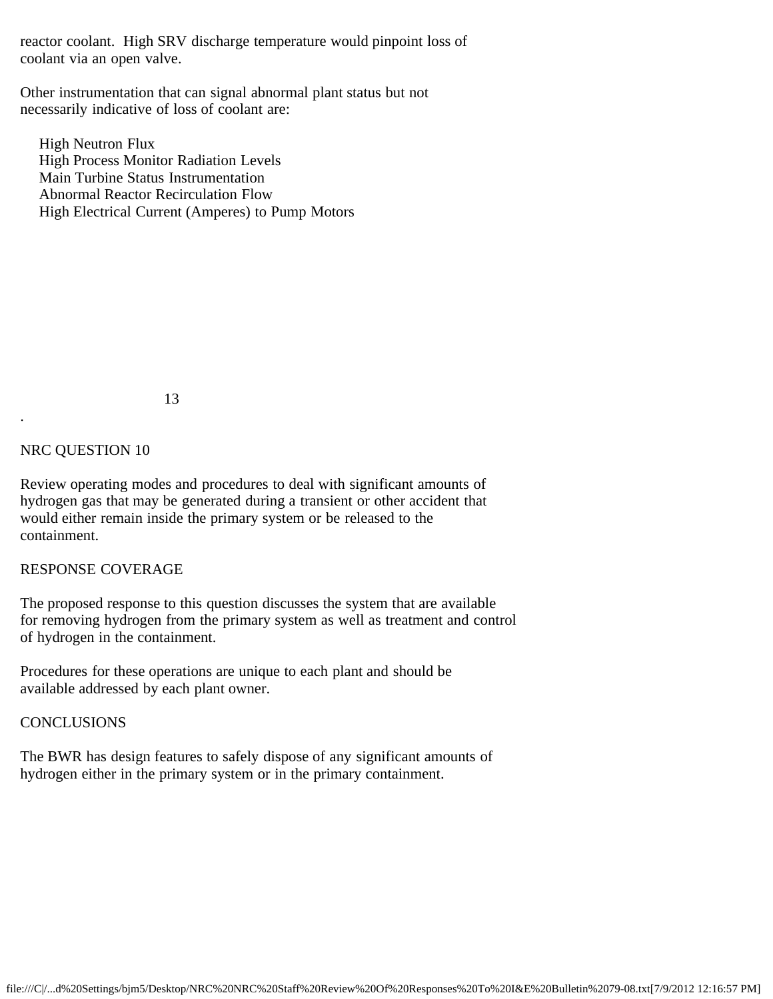reactor coolant. High SRV discharge temperature would pinpoint loss of coolant via an open valve.

Other instrumentation that can signal abnormal plant status but not necessarily indicative of loss of coolant are:

 High Neutron Flux High Process Monitor Radiation Levels Main Turbine Status Instrumentation Abnormal Reactor Recirculation Flow High Electrical Current (Amperes) to Pump Motors

13

## NRC QUESTION 10

.

Review operating modes and procedures to deal with significant amounts of hydrogen gas that may be generated during a transient or other accident that would either remain inside the primary system or be released to the containment.

### RESPONSE COVERAGE

The proposed response to this question discusses the system that are available for removing hydrogen from the primary system as well as treatment and control of hydrogen in the containment.

Procedures for these operations are unique to each plant and should be available addressed by each plant owner.

### **CONCLUSIONS**

The BWR has design features to safely dispose of any significant amounts of hydrogen either in the primary system or in the primary containment.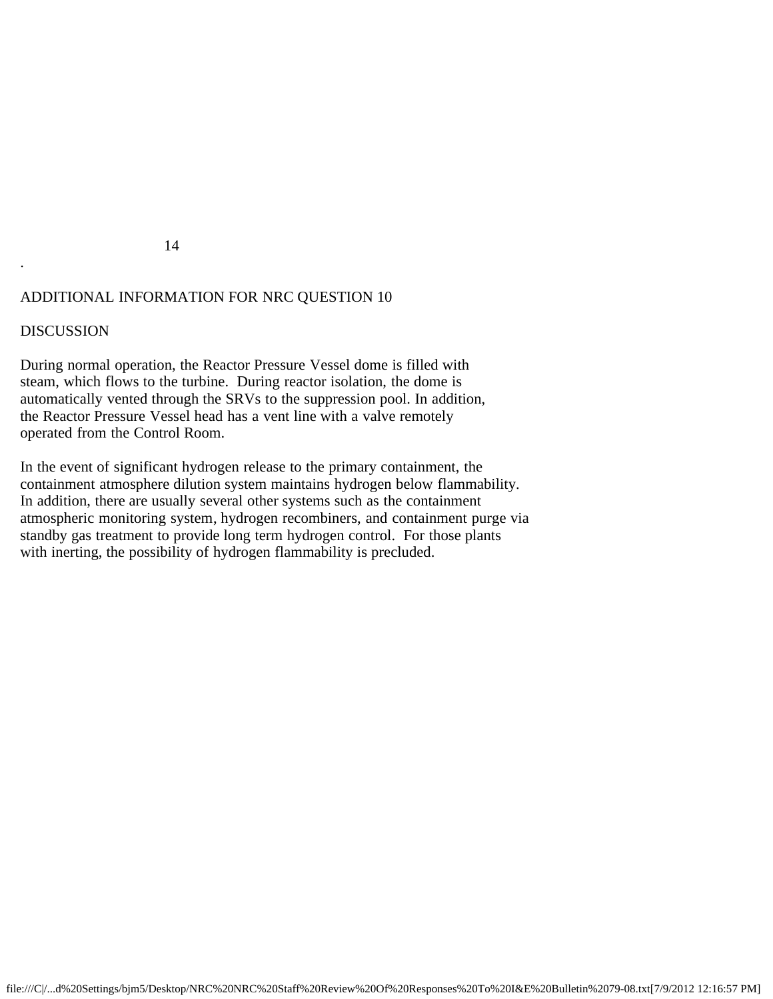## 14

# ADDITIONAL INFORMATION FOR NRC QUESTION 10

# DISCUSSION

.

During normal operation, the Reactor Pressure Vessel dome is filled with steam, which flows to the turbine. During reactor isolation, the dome is automatically vented through the SRVs to the suppression pool. In addition, the Reactor Pressure Vessel head has a vent line with a valve remotely operated from the Control Room.

In the event of significant hydrogen release to the primary containment, the containment atmosphere dilution system maintains hydrogen below flammability. In addition, there are usually several other systems such as the containment atmospheric monitoring system, hydrogen recombiners, and containment purge via standby gas treatment to provide long term hydrogen control. For those plants with inerting, the possibility of hydrogen flammability is precluded.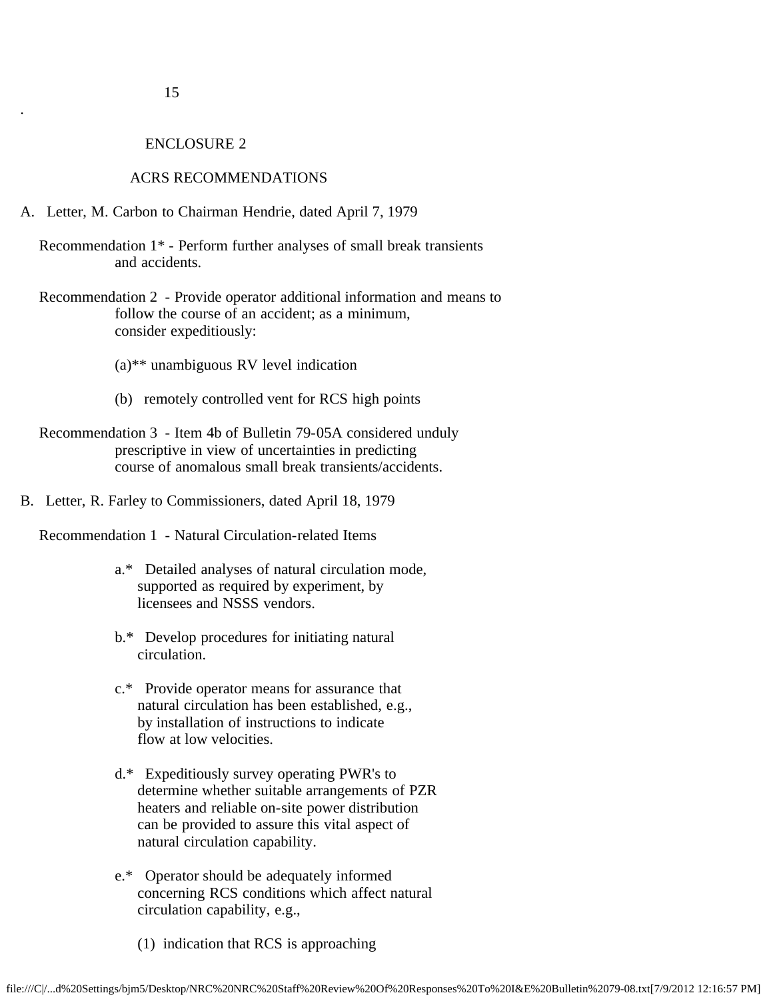.

#### ENCLOSURE 2

#### ACRS RECOMMENDATIONS

- A. Letter, M. Carbon to Chairman Hendrie, dated April 7, 1979
	- Recommendation 1\* Perform further analyses of small break transients and accidents.
	- Recommendation 2 Provide operator additional information and means to follow the course of an accident; as a minimum, consider expeditiously:
		- (a)\*\* unambiguous RV level indication
		- (b) remotely controlled vent for RCS high points
	- Recommendation 3 Item 4b of Bulletin 79-05A considered unduly prescriptive in view of uncertainties in predicting course of anomalous small break transients/accidents.
- B. Letter, R. Farley to Commissioners, dated April 18, 1979

Recommendation 1 - Natural Circulation-related Items

- a.\* Detailed analyses of natural circulation mode, supported as required by experiment, by licensees and NSSS vendors.
- b.\* Develop procedures for initiating natural circulation.
- c.\* Provide operator means for assurance that natural circulation has been established, e.g., by installation of instructions to indicate flow at low velocities.
- d.\* Expeditiously survey operating PWR's to determine whether suitable arrangements of PZR heaters and reliable on-site power distribution can be provided to assure this vital aspect of natural circulation capability.
- e.\* Operator should be adequately informed concerning RCS conditions which affect natural circulation capability, e.g.,
	- (1) indication that RCS is approaching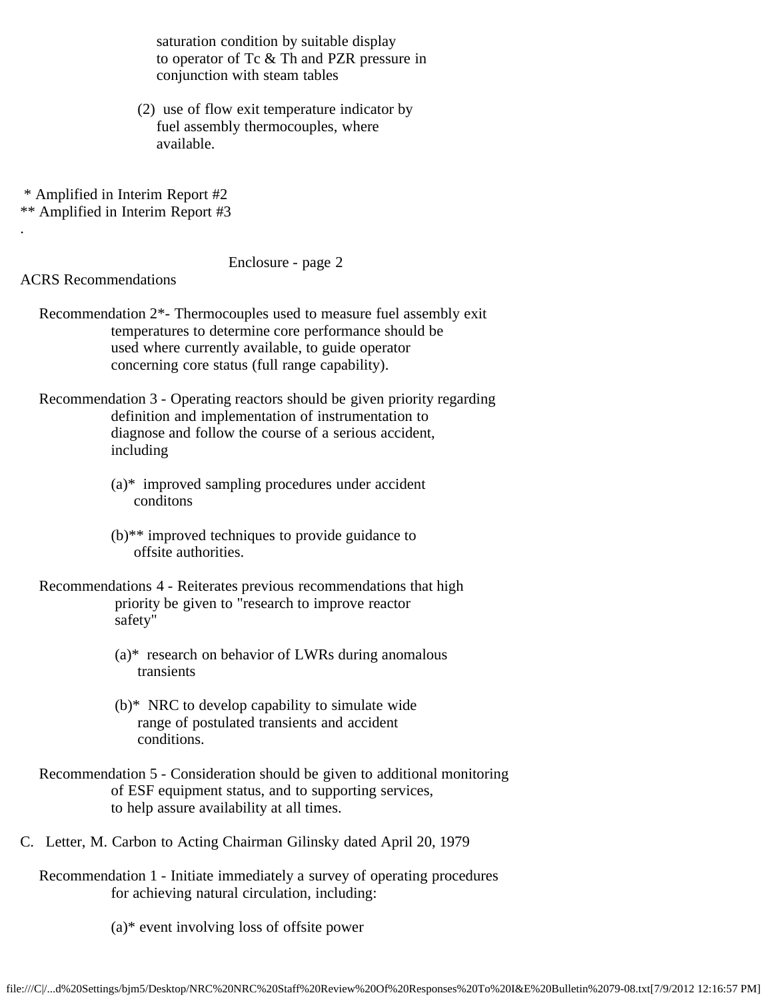saturation condition by suitable display to operator of Tc & Th and PZR pressure in conjunction with steam tables

- (2) use of flow exit temperature indicator by fuel assembly thermocouples, where available.
- \* Amplified in Interim Report #2

\*\* Amplified in Interim Report #3

### Enclosure - page 2

ACRS Recommendations

.

 Recommendation 2\*- Thermocouples used to measure fuel assembly exit temperatures to determine core performance should be used where currently available, to guide operator concerning core status (full range capability).

 Recommendation 3 - Operating reactors should be given priority regarding definition and implementation of instrumentation to diagnose and follow the course of a serious accident, including

- (a)\* improved sampling procedures under accident conditons
- (b)\*\* improved techniques to provide guidance to offsite authorities.
- Recommendations 4 Reiterates previous recommendations that high priority be given to "research to improve reactor safety"
	- $(a)$ <sup>\*</sup> research on behavior of LWRs during anomalous transients
	- (b)\* NRC to develop capability to simulate wide range of postulated transients and accident conditions.
- Recommendation 5 Consideration should be given to additional monitoring of ESF equipment status, and to supporting services, to help assure availability at all times.
- C. Letter, M. Carbon to Acting Chairman Gilinsky dated April 20, 1979
	- Recommendation 1 Initiate immediately a survey of operating procedures for achieving natural circulation, including:
		- (a)\* event involving loss of offsite power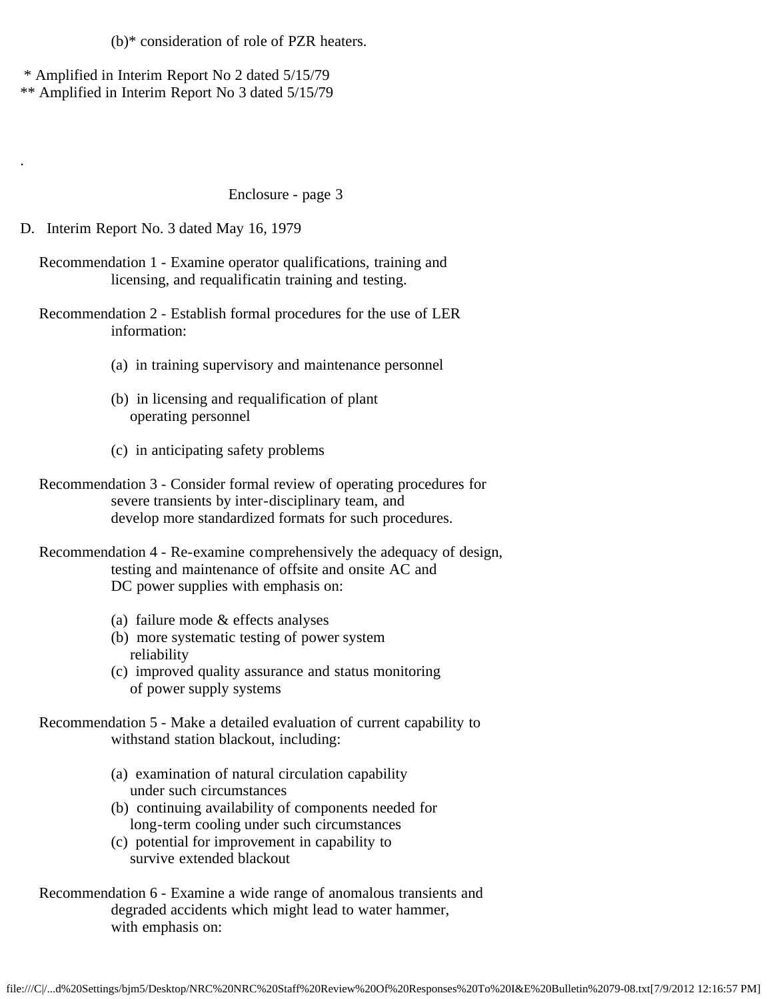(b)\* consideration of role of PZR heaters.

\* Amplified in Interim Report No 2 dated 5/15/79

\*\* Amplified in Interim Report No 3 dated 5/15/79

### Enclosure - page 3

D. Interim Report No. 3 dated May 16, 1979

.

 Recommendation 1 - Examine operator qualifications, training and licensing, and requalificatin training and testing.

 Recommendation 2 - Establish formal procedures for the use of LER information:

- (a) in training supervisory and maintenance personnel
- (b) in licensing and requalification of plant operating personnel
- (c) in anticipating safety problems
- Recommendation 3 Consider formal review of operating procedures for severe transients by inter-disciplinary team, and develop more standardized formats for such procedures.

 Recommendation 4 - Re-examine comprehensively the adequacy of design, testing and maintenance of offsite and onsite AC and DC power supplies with emphasis on:

- (a) failure mode & effects analyses
- (b) more systematic testing of power system reliability
- (c) improved quality assurance and status monitoring of power supply systems

 Recommendation 5 - Make a detailed evaluation of current capability to withstand station blackout, including:

- (a) examination of natural circulation capability under such circumstances
- (b) continuing availability of components needed for long-term cooling under such circumstances
- (c) potential for improvement in capability to survive extended blackout
- Recommendation 6 Examine a wide range of anomalous transients and degraded accidents which might lead to water hammer, with emphasis on: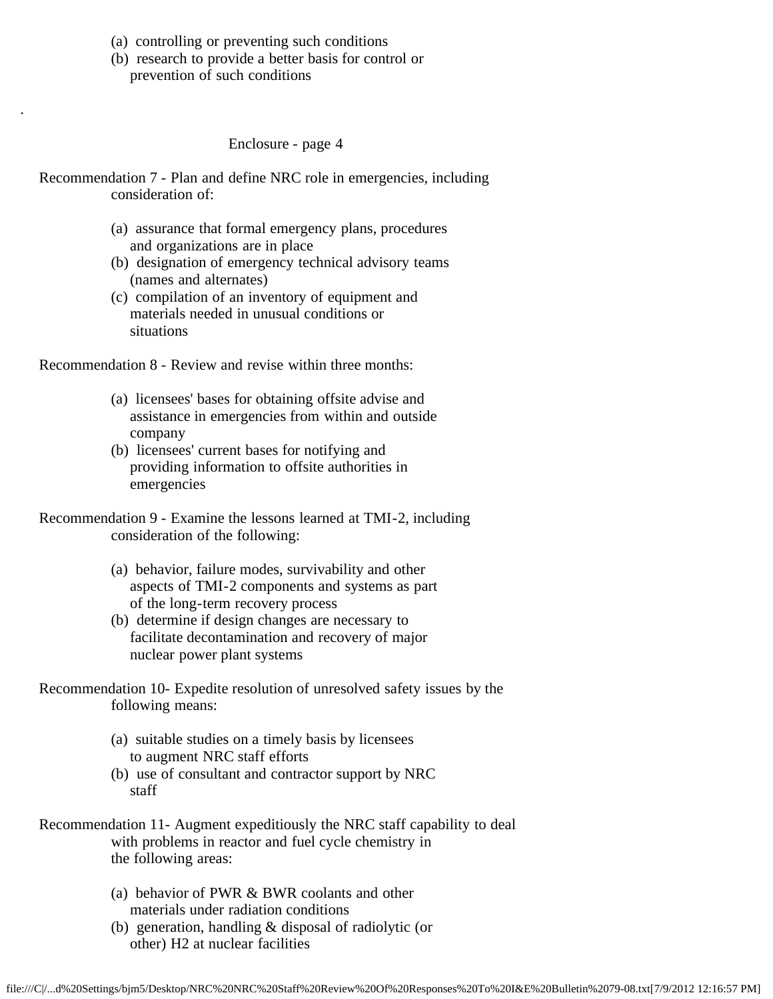(a) controlling or preventing such conditions

.

 (b) research to provide a better basis for control or prevention of such conditions

Enclosure - page 4

- Recommendation 7 Plan and define NRC role in emergencies, including consideration of:
	- (a) assurance that formal emergency plans, procedures and organizations are in place
	- (b) designation of emergency technical advisory teams (names and alternates)
	- (c) compilation of an inventory of equipment and materials needed in unusual conditions or situations

Recommendation 8 - Review and revise within three months:

- (a) licensees' bases for obtaining offsite advise and assistance in emergencies from within and outside company
- (b) licensees' current bases for notifying and providing information to offsite authorities in emergencies
- Recommendation 9 Examine the lessons learned at TMI-2, including consideration of the following:
	- (a) behavior, failure modes, survivability and other aspects of TMI-2 components and systems as part of the long-term recovery process
	- (b) determine if design changes are necessary to facilitate decontamination and recovery of major nuclear power plant systems
- Recommendation 10- Expedite resolution of unresolved safety issues by the following means:
	- (a) suitable studies on a timely basis by licensees to augment NRC staff efforts
	- (b) use of consultant and contractor support by NRC staff
- Recommendation 11- Augment expeditiously the NRC staff capability to deal with problems in reactor and fuel cycle chemistry in the following areas:
	- (a) behavior of PWR & BWR coolants and other materials under radiation conditions
	- (b) generation, handling & disposal of radiolytic (or other) H2 at nuclear facilities